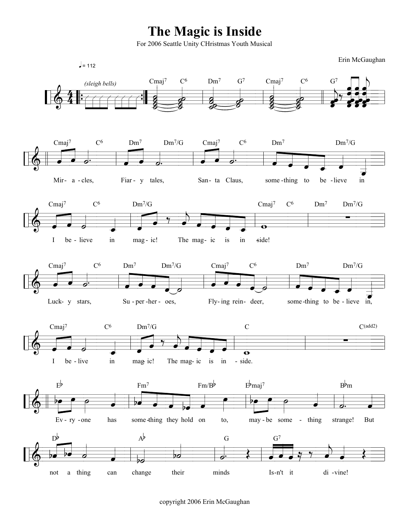## The Magic is Inside

For 2006 Seattle Unity CHristmas Youth Musical

Erin McGaughan



copyright 2006 Erin McGaughan